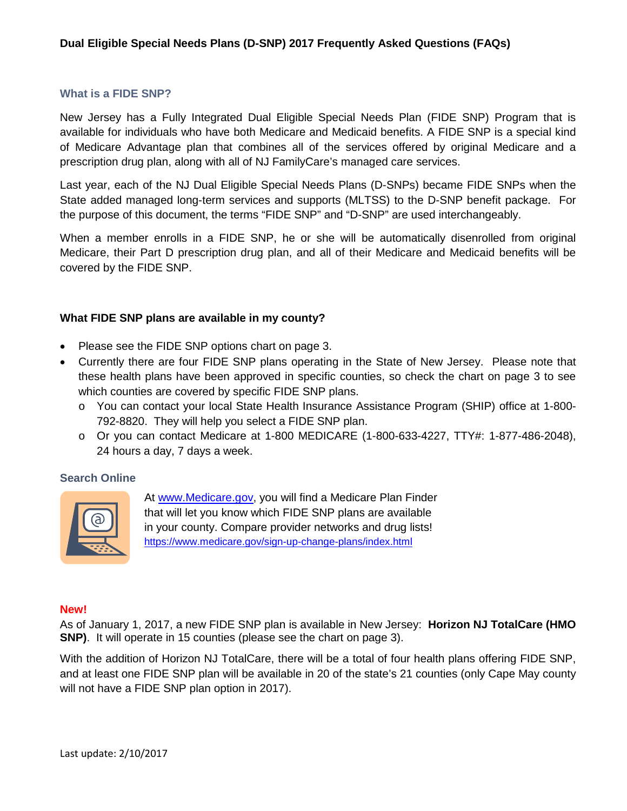#### **What is a FIDE SNP?**

New Jersey has a Fully Integrated Dual Eligible Special Needs Plan (FIDE SNP) Program that is available for individuals who have both Medicare and Medicaid benefits. A FIDE SNP is a special kind of Medicare Advantage plan that combines all of the services offered by original Medicare and a prescription drug plan, along with all of NJ FamilyCare's managed care services.

Last year, each of the NJ Dual Eligible Special Needs Plans (D-SNPs) became FIDE SNPs when the State added managed long-term services and supports (MLTSS) to the D-SNP benefit package. For the purpose of this document, the terms "FIDE SNP" and "D-SNP" are used interchangeably.

When a member enrolls in a FIDE SNP, he or she will be automatically disenrolled from original Medicare, their Part D prescription drug plan, and all of their Medicare and Medicaid benefits will be covered by the FIDE SNP.

### **What FIDE SNP plans are available in my county?**

- Please see the FIDE SNP options chart on page 3.
- Currently there are four FIDE SNP plans operating in the State of New Jersey. Please note that these health plans have been approved in specific counties, so check the chart on page 3 to see which counties are covered by specific FIDE SNP plans.
	- o You can contact your local State Health Insurance Assistance Program (SHIP) office at 1-800- 792-8820. They will help you select a FIDE SNP plan.
	- $\circ$  Or you can contact Medicare at 1-800 MEDICARE (1-800-633-4227, TTY#: 1-877-486-2048), 24 hours a day, 7 days a week.

#### **Search Online**



At [www.Medicare.gov,](http://www.medicare.gov/) you will find a Medicare Plan Finder that will let you know which FIDE SNP plans are available in your county. Compare provider networks and drug lists! <https://www.medicare.gov/sign-up-change-plans/index.html>

#### **New!**

As of January 1, 2017, a new FIDE SNP plan is available in New Jersey: **Horizon NJ TotalCare (HMO SNP)**. It will operate in 15 counties (please see the chart on page 3).

With the addition of Horizon NJ TotalCare, there will be a total of four health plans offering FIDE SNP, and at least one FIDE SNP plan will be available in 20 of the state's 21 counties (only Cape May county will not have a FIDE SNP plan option in 2017).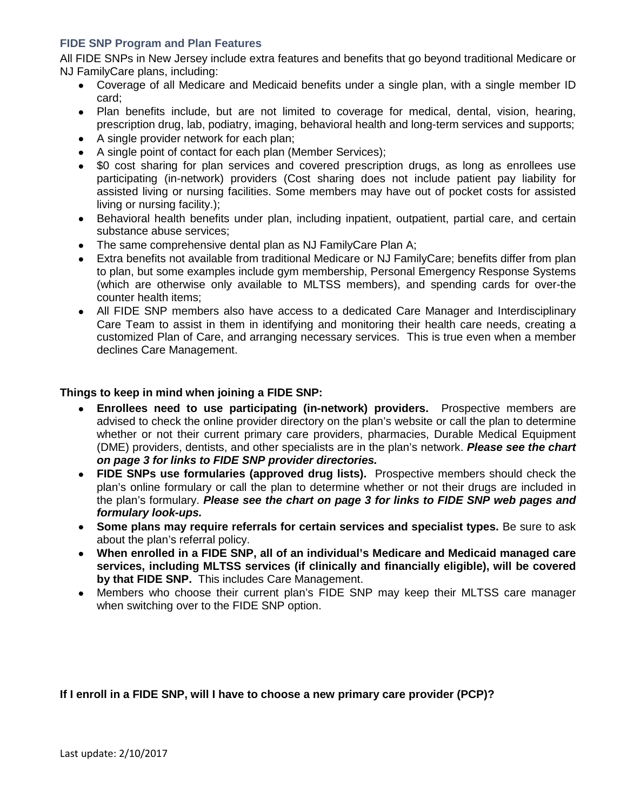## **FIDE SNP Program and Plan Features**

All FIDE SNPs in New Jersey include extra features and benefits that go beyond traditional Medicare or NJ FamilyCare plans, including:

- Coverage of all Medicare and Medicaid benefits under a single plan, with a single member ID card;
- Plan benefits include, but are not limited to coverage for medical, dental, vision, hearing, prescription drug, lab, podiatry, imaging, behavioral health and long-term services and supports;
- A single provider network for each plan;
- A single point of contact for each plan (Member Services);
- \$0 cost sharing for plan services and covered prescription drugs, as long as enrollees use participating (in-network) providers (Cost sharing does not include patient pay liability for assisted living or nursing facilities. Some members may have out of pocket costs for assisted living or nursing facility.);
- Behavioral health benefits under plan, including inpatient, outpatient, partial care, and certain substance abuse services;
- The same comprehensive dental plan as NJ FamilyCare Plan A;
- Extra benefits not available from traditional Medicare or NJ FamilyCare; benefits differ from plan to plan, but some examples include gym membership, Personal Emergency Response Systems (which are otherwise only available to MLTSS members), and spending cards for over-the counter health items;
- All FIDE SNP members also have access to a dedicated Care Manager and Interdisciplinary Care Team to assist in them in identifying and monitoring their health care needs, creating a customized Plan of Care, and arranging necessary services. This is true even when a member declines Care Management.

# **Things to keep in mind when joining a FIDE SNP:**

- **Enrollees need to use participating (in-network) providers.** Prospective members are advised to check the online provider directory on the plan's website or call the plan to determine whether or not their current primary care providers, pharmacies, Durable Medical Equipment (DME) providers, dentists, and other specialists are in the plan's network. *Please see the chart on page 3 for links to FIDE SNP provider directories.*
- **FIDE SNPs use formularies (approved drug lists).** Prospective members should check the plan's online formulary or call the plan to determine whether or not their drugs are included in the plan's formulary. *Please see the chart on page 3 for links to FIDE SNP web pages and formulary look-ups.*
- **Some plans may require referrals for certain services and specialist types.** Be sure to ask about the plan's referral policy.
- **When enrolled in a FIDE SNP, all of an individual's Medicare and Medicaid managed care services, including MLTSS services (if clinically and financially eligible), will be covered by that FIDE SNP.** This includes Care Management.
- Members who choose their current plan's FIDE SNP may keep their MLTSS care manager when switching over to the FIDE SNP option.

#### **If I enroll in a FIDE SNP, will I have to choose a new primary care provider (PCP)?**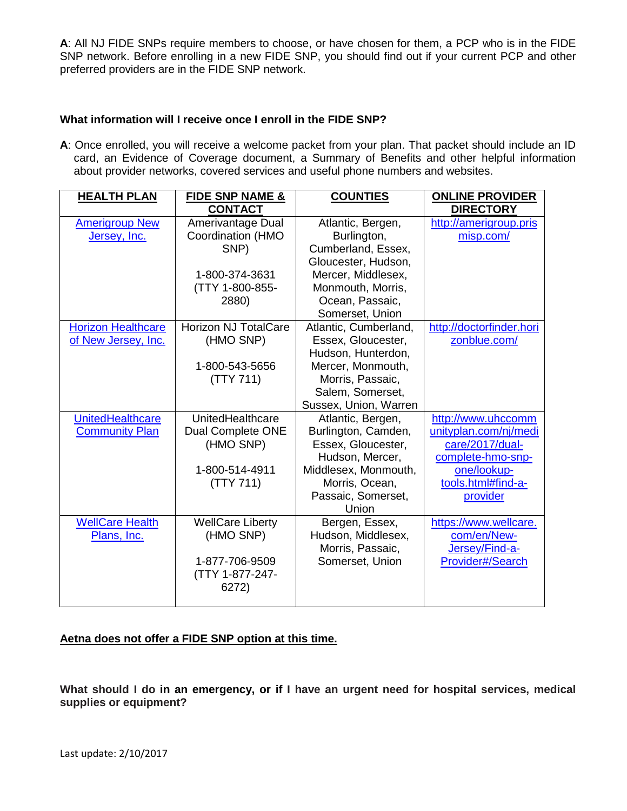**A**: All NJ FIDE SNPs require members to choose, or have chosen for them, a PCP who is in the FIDE SNP network. Before enrolling in a new FIDE SNP, you should find out if your current PCP and other preferred providers are in the FIDE SNP network.

## **What information will I receive once I enroll in the FIDE SNP?**

**A**: Once enrolled, you will receive a welcome packet from your plan. That packet should include an ID card, an Evidence of Coverage document, a Summary of Benefits and other helpful information about provider networks, covered services and useful phone numbers and websites.

| <b>HEALTH PLAN</b>        | <b>FIDE SNP NAME &amp;</b>  | <b>COUNTIES</b>       | <b>ONLINE PROVIDER</b>   |
|---------------------------|-----------------------------|-----------------------|--------------------------|
|                           | <b>CONTACT</b>              |                       | <b>DIRECTORY</b>         |
| <b>Amerigroup New</b>     | Amerivantage Dual           | Atlantic, Bergen,     | http://amerigroup.pris   |
| Jersey, Inc.              | Coordination (HMO           | Burlington,           | misp.com/                |
|                           | SNP)                        | Cumberland, Essex,    |                          |
|                           |                             | Gloucester, Hudson,   |                          |
|                           | 1-800-374-3631              | Mercer, Middlesex,    |                          |
|                           | (TTY 1-800-855-             | Monmouth, Morris,     |                          |
|                           | 2880)                       | Ocean, Passaic,       |                          |
|                           |                             | Somerset, Union       |                          |
| <b>Horizon Healthcare</b> | <b>Horizon NJ TotalCare</b> | Atlantic, Cumberland, | http://doctorfinder.hori |
| of New Jersey, Inc.       | (HMO SNP)                   | Essex, Gloucester,    | zonblue.com/             |
|                           |                             | Hudson, Hunterdon,    |                          |
|                           | 1-800-543-5656              | Mercer, Monmouth,     |                          |
|                           | (TTY 711)                   | Morris, Passaic,      |                          |
|                           |                             | Salem, Somerset,      |                          |
|                           |                             | Sussex, Union, Warren |                          |
| <b>UnitedHealthcare</b>   | UnitedHealthcare            | Atlantic, Bergen,     | http://www.uhccomm       |
| <b>Community Plan</b>     | Dual Complete ONE           | Burlington, Camden,   | unityplan.com/nj/medi    |
|                           | (HMO SNP)                   | Essex, Gloucester,    | care/2017/dual-          |
|                           |                             | Hudson, Mercer,       | complete-hmo-snp-        |
|                           | 1-800-514-4911              | Middlesex, Monmouth,  | one/lookup-              |
|                           | (TTY 711)                   | Morris, Ocean,        | tools.html#find-a-       |
|                           |                             | Passaic, Somerset,    | provider                 |
|                           |                             | Union                 |                          |
| <b>WellCare Health</b>    | <b>WellCare Liberty</b>     | Bergen, Essex,        | https://www.wellcare.    |
| Plans, Inc.               | (HMO SNP)                   | Hudson, Middlesex,    | com/en/New-              |
|                           |                             | Morris, Passaic,      | Jersey/Find-a-           |
|                           | 1-877-706-9509              | Somerset, Union       | Provider#/Search         |
|                           | (TTY 1-877-247-             |                       |                          |
|                           | 6272)                       |                       |                          |
|                           |                             |                       |                          |

# **Aetna does not offer a FIDE SNP option at this time.**

**What should I do in an emergency, or if I have an urgent need for hospital services, medical supplies or equipment?**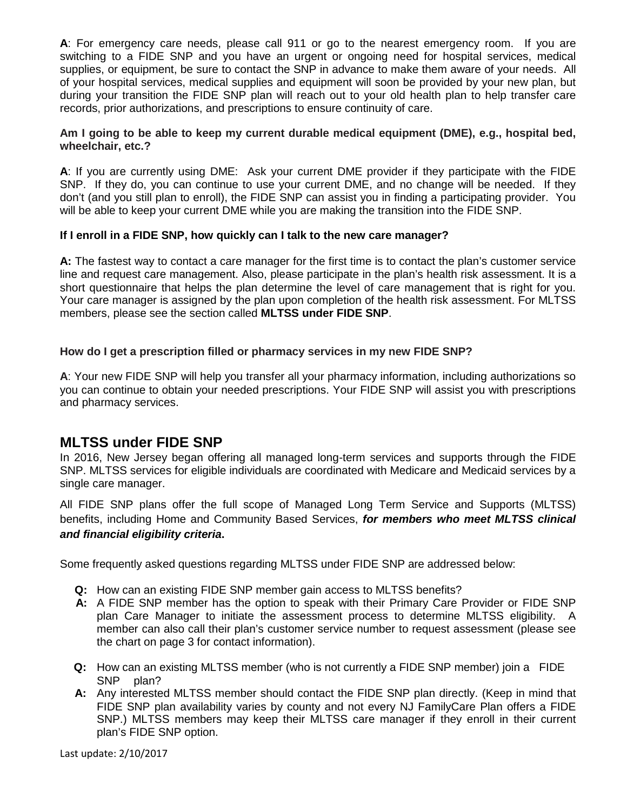**A**: For emergency care needs, please call 911 or go to the nearest emergency room. If you are switching to a FIDE SNP and you have an urgent or ongoing need for hospital services, medical supplies, or equipment, be sure to contact the SNP in advance to make them aware of your needs. All of your hospital services, medical supplies and equipment will soon be provided by your new plan, but during your transition the FIDE SNP plan will reach out to your old health plan to help transfer care records, prior authorizations, and prescriptions to ensure continuity of care.

#### **Am I going to be able to keep my current durable medical equipment (DME), e.g., hospital bed, wheelchair, etc.?**

**A**: If you are currently using DME: Ask your current DME provider if they participate with the FIDE SNP. If they do, you can continue to use your current DME, and no change will be needed. If they don't (and you still plan to enroll), the FIDE SNP can assist you in finding a participating provider. You will be able to keep your current DME while you are making the transition into the FIDE SNP.

### **If I enroll in a FIDE SNP, how quickly can I talk to the new care manager?**

**A:** The fastest way to contact a care manager for the first time is to contact the plan's customer service line and request care management. Also, please participate in the plan's health risk assessment. It is a short questionnaire that helps the plan determine the level of care management that is right for you. Your care manager is assigned by the plan upon completion of the health risk assessment. For MLTSS members, please see the section called **MLTSS under FIDE SNP**.

### **How do I get a prescription filled or pharmacy services in my new FIDE SNP?**

**A**: Your new FIDE SNP will help you transfer all your pharmacy information, including authorizations so you can continue to obtain your needed prescriptions. Your FIDE SNP will assist you with prescriptions and pharmacy services.

# **MLTSS under FIDE SNP**

In 2016, New Jersey began offering all managed long-term services and supports through the FIDE SNP. MLTSS services for eligible individuals are coordinated with Medicare and Medicaid services by a single care manager.

All FIDE SNP plans offer the full scope of Managed Long Term Service and Supports (MLTSS) benefits, including Home and Community Based Services, *for members who meet MLTSS clinical and financial eligibility criteria***.**

Some frequently asked questions regarding MLTSS under FIDE SNP are addressed below:

- **Q:** How can an existing FIDE SNP member gain access to MLTSS benefits?
- **A:** A FIDE SNP member has the option to speak with their Primary Care Provider or FIDE SNP plan Care Manager to initiate the assessment process to determine MLTSS eligibility. A member can also call their plan's customer service number to request assessment (please see the chart on page 3 for contact information).
- **Q:** How can an existing MLTSS member (who is not currently a FIDE SNP member) join a FIDE SNP plan?
- **A:** Any interested MLTSS member should contact the FIDE SNP plan directly. (Keep in mind that FIDE SNP plan availability varies by county and not every NJ FamilyCare Plan offers a FIDE SNP.) MLTSS members may keep their MLTSS care manager if they enroll in their current plan's FIDE SNP option.

Last update: 2/10/2017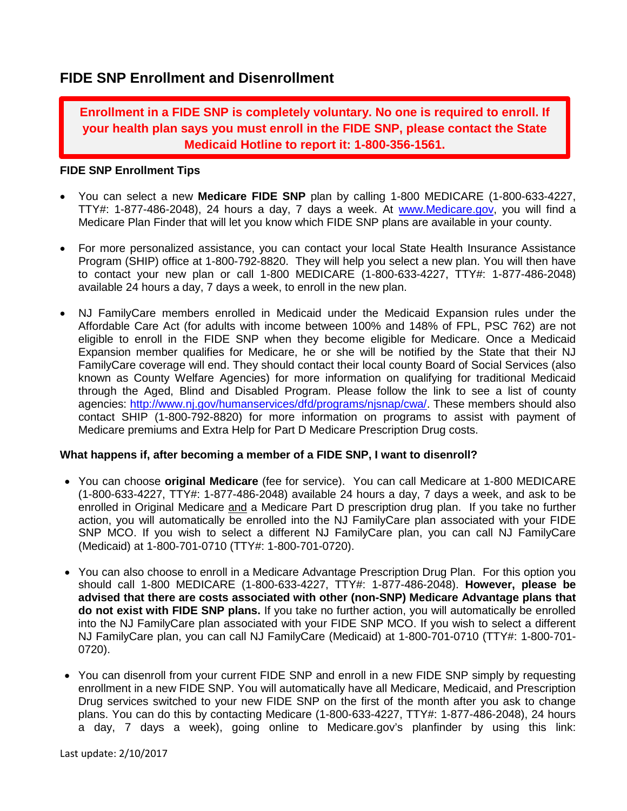# **FIDE SNP Enrollment and Disenrollment**

**Enrollment in a FIDE SNP is completely voluntary. No one is required to enroll. If your health plan says you must enroll in the FIDE SNP, please contact the State Medicaid Hotline to report it: 1-800-356-1561.** 

#### **FIDE SNP Enrollment Tips**

- You can select a new **Medicare FIDE SNP** plan by calling 1-800 MEDICARE (1-800-633-4227, TTY#: 1-877-486-2048), 24 hours a day, 7 days a week. At [www.Medicare.gov,](http://www.medicare.gov/) you will find a Medicare Plan Finder that will let you know which FIDE SNP plans are available in your county.
- For more personalized assistance, you can contact your local State Health Insurance Assistance Program (SHIP) office at 1-800-792-8820. They will help you select a new plan. You will then have to contact your new plan or call 1-800 MEDICARE (1-800-633-4227, TTY#: 1-877-486-2048) available 24 hours a day, 7 days a week, to enroll in the new plan.
- NJ FamilyCare members enrolled in Medicaid under the Medicaid Expansion rules under the Affordable Care Act (for adults with income between 100% and 148% of FPL, PSC 762) are not eligible to enroll in the FIDE SNP when they become eligible for Medicare. Once a Medicaid Expansion member qualifies for Medicare, he or she will be notified by the State that their NJ FamilyCare coverage will end. They should contact their local county Board of Social Services (also known as County Welfare Agencies) for more information on qualifying for traditional Medicaid through the Aged, Blind and Disabled Program. Please follow the link to see a list of county agencies: [http://www.nj.gov/humanservices/dfd/programs/njsnap/cwa/.](http://www.nj.gov/humanservices/dfd/programs/njsnap/cwa/) These members should also contact SHIP (1-800-792-8820) for more information on programs to assist with payment of Medicare premiums and Extra Help for Part D Medicare Prescription Drug costs.

# **What happens if, after becoming a member of a FIDE SNP, I want to disenroll?**

- You can choose **original Medicare** (fee for service). You can call Medicare at 1-800 MEDICARE (1-800-633-4227, TTY#: 1-877-486-2048) available 24 hours a day, 7 days a week, and ask to be enrolled in Original Medicare and a Medicare Part D prescription drug plan. If you take no further action, you will automatically be enrolled into the NJ FamilyCare plan associated with your FIDE SNP MCO. If you wish to select a different NJ FamilyCare plan, you can call NJ FamilyCare (Medicaid) at 1-800-701-0710 (TTY#: 1-800-701-0720).
- You can also choose to enroll in a Medicare Advantage Prescription Drug Plan. For this option you should call 1-800 MEDICARE (1-800-633-4227, TTY#: 1-877-486-2048). **However, please be advised that there are costs associated with other (non-SNP) Medicare Advantage plans that do not exist with FIDE SNP plans.** If you take no further action, you will automatically be enrolled into the NJ FamilyCare plan associated with your FIDE SNP MCO. If you wish to select a different NJ FamilyCare plan, you can call NJ FamilyCare (Medicaid) at 1-800-701-0710 (TTY#: 1-800-701- 0720).
- You can disenroll from your current FIDE SNP and enroll in a new FIDE SNP simply by requesting enrollment in a new FIDE SNP. You will automatically have all Medicare, Medicaid, and Prescription Drug services switched to your new FIDE SNP on the first of the month after you ask to change plans. You can do this by contacting Medicare (1-800-633-4227, TTY#: 1-877-486-2048), 24 hours a day, 7 days a week), going online to Medicare.gov's planfinder by using this link: